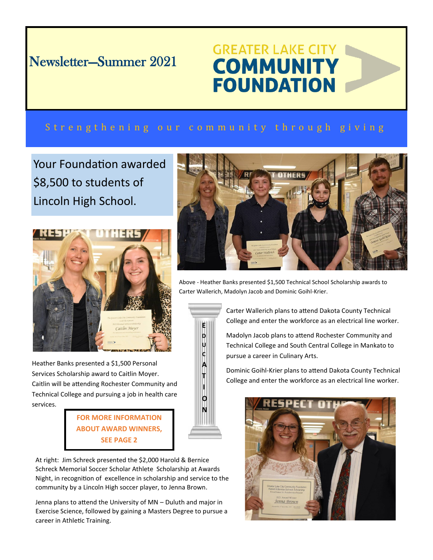# Newsletter—Summer 2021

# **GREATER LAKE CITY COMMUNITY FOUNDATION**

## Strengthening our community through giving

Your Foundation awarded \$8,500 to students of Lincoln High School.



Heather Banks presented a \$1,500 Personal Services Scholarship award to Caitlin Moyer. Caitlin will be attending Rochester Community and Technical College and pursuing a job in health care services.

> **FOR MORE INFORMATION ABOUT AWARD WINNERS, SEE PAGE 2**

At right: Jim Schreck presented the \$2,000 Harold & Bernice Schreck Memorial Soccer Scholar Athlete Scholarship at Awards Night, in recognition of excellence in scholarship and service to the community by a Lincoln High soccer player, to Jenna Brown.

Jenna plans to attend the University of MN – Duluth and major in Exercise Science, followed by gaining a Masters Degree to pursue a career in Athletic Training.



Above - Heather Banks presented \$1,500 Technical School Scholarship awards to Carter Wallerich, Madolyn Jacob and Dominic Goihl-Krier.



Carter Wallerich plans to attend Dakota County Technical College and enter the workforce as an electrical line worker.

Madolyn Jacob plans to attend Rochester Community and Technical College and South Central College in Mankato to pursue a career in Culinary Arts.

Dominic Goihl-Krier plans to attend Dakota County Technical College and enter the workforce as an electrical line worker.

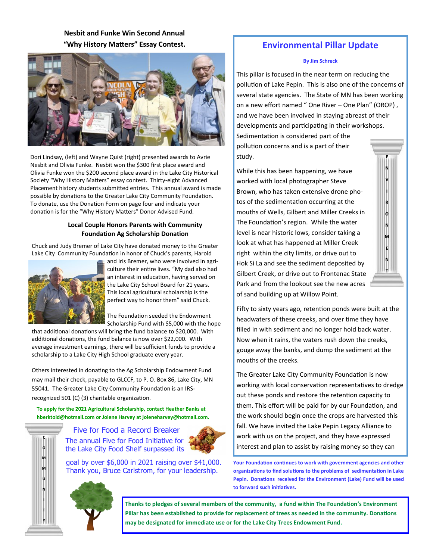### **Nesbit and Funke Win Second Annual "Why History Matters" Essay Contest.**



Dori Lindsay, (left) and Wayne Quist (right) presented awards to Avrie Nesbit and Olivia Funke. Nesbit won the \$300 first place award and Olivia Funke won the \$200 second place award in the Lake City Historical Society "Why History Matters" essay contest. Thirty-eight Advanced Placement history students submitted entries. This annual award is made possible by donations to the Greater Lake City Community Foundation. To donate, use the Donation Form on page four and indicate your donation is for the "Why History Matters" Donor Advised Fund.

#### **Local Couple Honors Parents with Community Foundation Ag Scholarship Donation**

Chuck and Judy Bremer of Lake City have donated money to the Greater Lake City Community Foundation in honor of Chuck's parents, Harold



and Iris Bremer, who were involved in agriculture their entire lives. "My dad also had an interest in education, having served on the Lake City School Board for 21 years. This local agricultural scholarship is the perfect way to honor them" said Chuck.

The Foundation seeded the Endowment Scholarship Fund with \$5,000 with the hope

that additional donations will bring the fund balance to \$20,000. With additional donations, the fund balance is now over \$22,000. With average investment earnings, there will be sufficient funds to provide a scholarship to a Lake City High School graduate every year.

Others interested in donating to the Ag Scholarship Endowment Fund may mail their check, payable to GLCCF, to P. O. Box 86, Lake City, MN 55041. The Greater Lake City Community Foundation is an IRSrecognized 501 (C) (3) charitable organization.

**To apply for the 2021 Agricultural Scholarship, contact Heather Banks at hberktold@hotmail.com or Jolene Harvey at joleneharvey@hotmail.com.** 



Five for Food a Record Breaker The annual Five for Food Initiative for the Lake City Food Shelf surpassed its



goal by over \$6,000 in 2021 raising over \$41,000. Thank you, Bruce Carlstrom, for your leadership.

## **Environmental Pillar Update**

#### **By Jim Schreck**

This pillar is focused in the near term on reducing the pollution of Lake Pepin. This is also one of the concerns of several state agencies. The State of MN has been working on a new effort named " One River - One Plan" (OROP), and we have been involved in staying abreast of their developments and participating in their workshops. Sedimentation is considered part of the pollution concerns and is a part of their study. **E**

While this has been happening, we have worked with local photographer Steve Brown, who has taken extensive drone photos of the sedimentation occurring at the mouths of Wells, Gilbert and Miller Creeks in The Foundation's region. While the water level is near historic lows, consider taking a look at what has happened at Miller Creek right within the city limits, or drive out to Hok Si La and see the sediment deposited by Gilbert Creek, or drive out to Frontenac State Park and from the lookout see the new acres of sand building up at Willow Point.



Fifty to sixty years ago, retention ponds were built at the headwaters of these creeks, and over time they have filled in with sediment and no longer hold back water. Now when it rains, the waters rush down the creeks, gouge away the banks, and dump the sediment at the mouths of the creeks.

The Greater Lake City Community Foundation is now working with local conservation representatives to dredge out these ponds and restore the retention capacity to them. This effort will be paid for by our Foundation, and the work should begin once the crops are harvested this fall. We have invited the Lake Pepin Legacy Alliance to work with us on the project, and they have expressed interest and plan to assist by raising money so they can

**Your Foundation continues to work with government agencies and other organizations to find solutions to the problems of sedimentation in Lake Pepin. Donations received for the Environment (Lake) Fund will be used to forward such initiatives.**

**Thanks to pledges of several members of the community, a fund within The Foundation's Environment Pillar has been established to provide for replacement of trees as needed in the community. Donations may be designated for immediate use or for the Lake City Trees Endowment Fund.**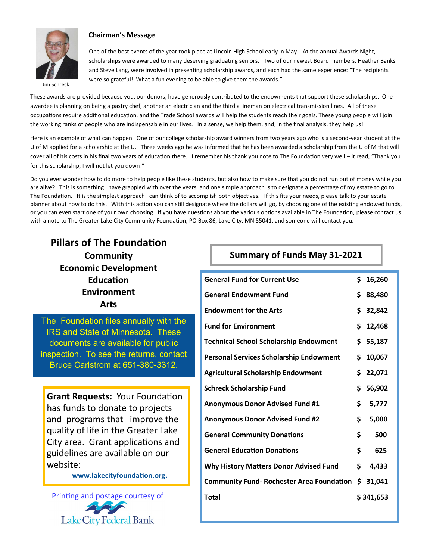

#### **Chairman's Message**

One of the best events of the year took place at Lincoln High School early in May. At the annual Awards Night, scholarships were awarded to many deserving graduating seniors. Two of our newest Board members, Heather Banks and Steve Lang, were involved in presenting scholarship awards, and each had the same experience: "The recipients were so grateful! What a fun evening to be able to give them the awards."

Jim Schreck

These awards are provided because you, our donors, have generously contributed to the endowments that support these scholarships. One awardee is planning on being a pastry chef, another an electrician and the third a lineman on electrical transmission lines. All of these occupations require additional education, and the Trade School awards will help the students reach their goals. These young people will join the working ranks of people who are indispensable in our lives. In a sense, we help them, and, in the final analysis, they help us!

Here is an example of what can happen. One of our college scholarship award winners from two years ago who is a second-year student at the U of M applied for a scholarship at the U. Three weeks ago he was informed that he has been awarded a scholarship from the U of M that will cover all of his costs in his final two years of education there. I remember his thank you note to The Foundation very well – it read, "Thank you for this scholarship; I will not let you down!"

Do you ever wonder how to do more to help people like these students, but also how to make sure that you do not run out of money while you are alive? This is something I have grappled with over the years, and one simple approach is to designate a percentage of my estate to go to The Foundation. It is the simplest approach I can think of to accomplish both objectives. If this fits your needs, please talk to your estate planner about how to do this. With this action you can still designate where the dollars will go, by choosing one of the existing endowed funds, or you can even start one of your own choosing. If you have questions about the various options available in The Foundation, please contact us with a note to The Greater Lake City Community Foundation, PO Box 86, Lake City, MN 55041, and someone will contact you.

## **Pillars of The Foundation**

**Community Economic Development Education Environment Arts**

The Foundation files annually with the IRS and State of Minnesota. These documents are available for public inspection. To see the returns, contact Bruce Carlstrom at 651-380-3312.

**Grant Requests:** Your Foundation has funds to donate to projects and programs that improve the quality of life in the Greater Lake City area. Grant applications and guidelines are available on our website:

**www.lakecityfoundation.org.**



## **Summary of Funds May 31-2021**

| <b>General Fund for Current Use</b>              | \$. | 16,260    |
|--------------------------------------------------|-----|-----------|
| <b>General Endowment Fund</b>                    | \$  | 88,480    |
| <b>Endowment for the Arts</b>                    |     | \$32,842  |
| <b>Fund for Environment</b>                      | \$  | 12,468    |
| <b>Technical School Scholarship Endowment</b>    |     | \$55,187  |
| <b>Personal Services Scholarship Endowment</b>   | \$  | 10,067    |
| <b>Agricultural Scholarship Endowment</b>        |     | \$22,071  |
| <b>Schreck Scholarship Fund</b>                  | \$  | 56,902    |
| <b>Anonymous Donor Advised Fund #1</b>           | \$  | 5,777     |
| <b>Anonymous Donor Advised Fund #2</b>           | \$  | 5,000     |
| <b>General Community Donations</b>               | \$  | 500       |
| <b>General Education Donations</b>               | \$  | 625       |
| <b>Why History Matters Donor Advised Fund</b>    | \$  | 4,433     |
| <b>Community Fund- Rochester Area Foundation</b> |     | \$31,041  |
| <b>Total</b>                                     |     | \$341,653 |
|                                                  |     |           |